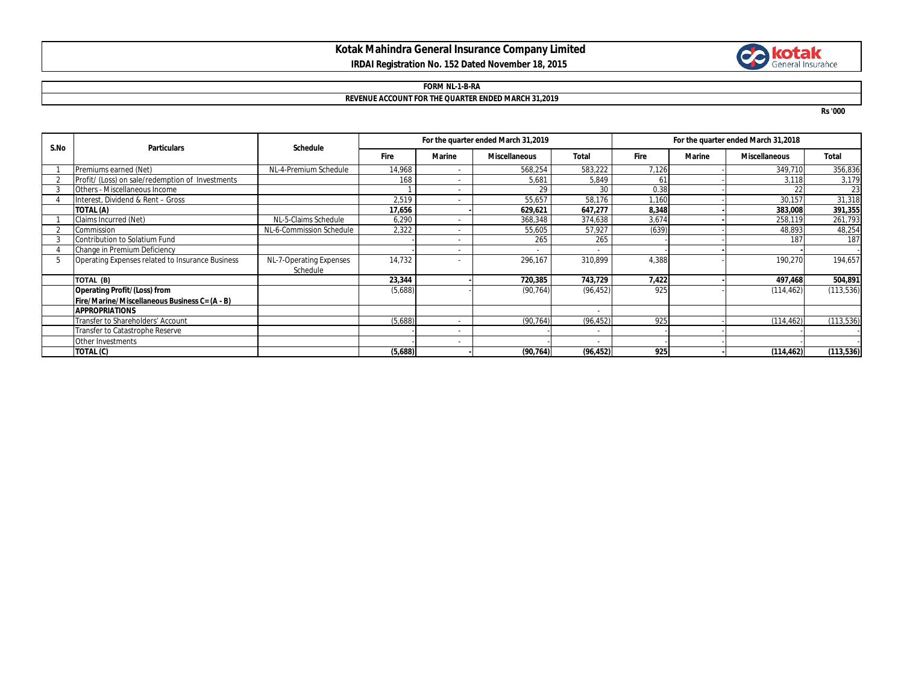# **Kotak Mahindra General Insurance Company Limited IRDAI Registration No. 152 Dated November 18, 2015**

# **Collection**

### **FORM NL-1-B-RA REVENUE ACCOUNT FOR THE QUARTER ENDED MARCH 31,2019**

**Rs '000**

| S.No | <b>Particulars</b>                               | <b>Schedule</b>          | For the quarter ended March 31,2019 |                          |                      |           | For the quarter ended March 31,2018 |               |                      |              |
|------|--------------------------------------------------|--------------------------|-------------------------------------|--------------------------|----------------------|-----------|-------------------------------------|---------------|----------------------|--------------|
|      |                                                  |                          | Fire                                | <b>Marine</b>            | <b>Miscellaneous</b> | Total     | Fire                                | <b>Marine</b> | <b>Miscellaneous</b> | <b>Total</b> |
|      | Premiums earned (Net)                            | NL-4-Premium Schedule    | 14,968                              |                          | 568,254              | 583,222   | 7,126                               |               | 349,710              | 356,836      |
|      | Profit/ (Loss) on sale/redemption of Investments |                          | 168                                 |                          | 5,681                | 5,849     | 61                                  |               | 3,118                | 3,179        |
|      | Others - Miscellaneous Income                    |                          |                                     | $\overline{\phantom{0}}$ | 29                   | 30        | 0.38                                |               | 22                   | 23           |
|      | Interest, Dividend & Rent - Gross                |                          | 2,519                               |                          | 55,657               | 58,176    | 1,160                               |               | 30,157               | 31,318       |
|      | TOTAL (A)                                        |                          | 17,656                              |                          | 629,621              | 647,277   | 8,348                               |               | 383,008              | 391,355      |
|      | Claims Incurred (Net)                            | NL-5-Claims Schedule     | 6,290                               |                          | 368,348              | 374,638   | 3,674                               |               | 258,119              | 261,793      |
|      | Commission                                       | NL-6-Commission Schedule | 2,322                               |                          | 55,605               | 57,927    | (639)                               |               | 48,893               | 48,254       |
|      | Contribution to Solatium Fund                    |                          |                                     |                          | 265                  | 265       |                                     |               | 187                  | 187          |
|      | Change in Premium Deficiency                     |                          |                                     |                          |                      |           |                                     |               |                      |              |
|      | Operating Expenses related to Insurance Business | NL-7-Operating Expenses  | 14,732                              |                          | 296,167              | 310,899   | 4,388                               |               | 190,270              | 194,657      |
|      |                                                  | Schedule                 |                                     |                          |                      |           |                                     |               |                      |              |
|      | TOTAL (B)                                        |                          | 23,344                              |                          | 720,385              | 743,729   | 7,422                               |               | 497,468              | 504,891      |
|      | <b>Operating Profit/(Loss) from</b>              |                          | (5,688)                             |                          | (90, 764)            | (96, 452) | 925                                 |               | (114, 462)           | (113, 536)   |
|      | Fire/Marine/Miscellaneous Business C= (A - B)    |                          |                                     |                          |                      |           |                                     |               |                      |              |
|      | <b>APPROPRIATIONS</b>                            |                          |                                     |                          |                      |           |                                     |               |                      |              |
|      | Transfer to Shareholders' Account                |                          | (5,688)                             |                          | (90, 764)            | (96, 452) | 925                                 |               | (114, 462)           | (113, 536)   |
|      | Transfer to Catastrophe Reserve                  |                          |                                     | $\overline{\phantom{a}}$ |                      |           |                                     |               |                      |              |
|      | Other Investments                                |                          |                                     |                          |                      |           |                                     |               |                      |              |
|      | TOTAL (C)                                        |                          | (5,688)                             |                          | (90, 764)            | (96, 452) | 925                                 |               | (114, 462)           | (113, 536)   |